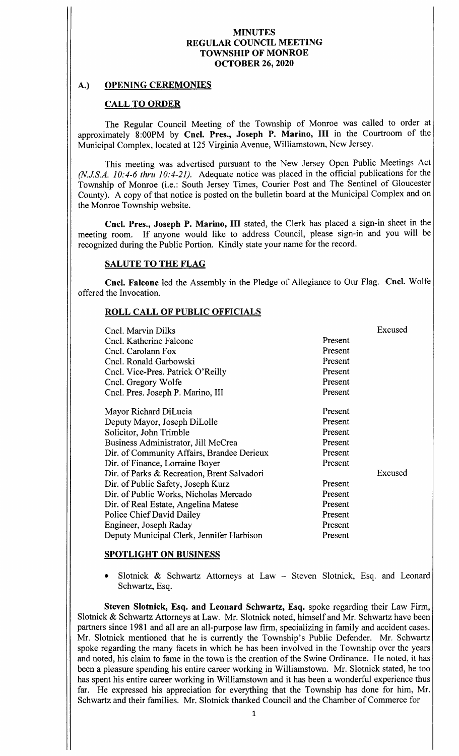# A.) OPENING CEREMONIES

# CALL TO ORDER

The Regular Council Meeting of the Township of Monroe was called to order at approximately 8:00PM by Cncl. Pres., Joseph P. Marino, III in the Courtroom of the Municipal Complex, located at 125 Virginia Avenue, Williamstown, New Jersey.

This meeting was advertised pursuant to the New Jersey Open Public Meetings Act (N.J.S.A. 10:4-6 thru 10:4-21). Adequate notice was placed in the official publications for the Township of Monroe (i.e.: South Jersey Times, Courier Post and The Sentinel of Gloucester County). A copy of that notice is posted on the bulletin board at the Municipal Complex and on the Monroe Township website.

Cncl. Pres., Joseph P. Marino, III stated, the Clerk has placed a sign-in sheet in the meeting room. If anyone would like to address Council, please sign-in and you will be recognized during the Public Portion. Kindly state your name for the record.

# SALUTE TO THE FLAG

Cncl. Falcone led the Assembly in the Pledge of Allegiance to Our Flag. Cncl. Wolfe offered the Invocation.

# ROLL CALL OF PUBLIC OFFICIALS

| Cncl. Marvin Dilks<br>Cncl. Katherine Falcone<br>Cncl. Carolann Fox<br>Cncl. Ronald Garbowski<br>Cncl. Vice-Pres. Patrick O'Reilly<br>Cncl. Gregory Wolfe<br>Cncl. Pres. Joseph P. Marino, III                                                                                                                                                                                                                                                                                             | Present<br>Present<br>Present<br>Present<br>Present<br>Present                                                                   | Excused |
|--------------------------------------------------------------------------------------------------------------------------------------------------------------------------------------------------------------------------------------------------------------------------------------------------------------------------------------------------------------------------------------------------------------------------------------------------------------------------------------------|----------------------------------------------------------------------------------------------------------------------------------|---------|
| Mayor Richard DiLucia<br>Deputy Mayor, Joseph DiLolle<br>Solicitor, John Trimble<br>Business Administrator, Jill McCrea<br>Dir. of Community Affairs, Brandee Derieux<br>Dir. of Finance, Lorraine Boyer<br>Dir. of Parks & Recreation, Brent Salvadori<br>Dir. of Public Safety, Joseph Kurz<br>Dir. of Public Works, Nicholas Mercado<br>Dir. of Real Estate, Angelina Matese<br><b>Police Chief David Dailey</b><br>Engineer, Joseph Raday<br>Deputy Municipal Clerk, Jennifer Harbison | Present<br>Present<br>Present<br>Present<br>Present<br>Present<br>Present<br>Present<br>Present<br>Present<br>Present<br>Present | Excused |

### SPOTLIGHT ON BUSINESS

• Slotnick & Schwartz Attorneys at Law - Steven Slotnick, Esq. and Leonard Schwartz, Esq.

Steven Slotnick, Esq. and Leonard Schwartz, Esq. spoke regarding their Law Firm, Slotnick& Schwartz Attorneys at Law. Mr. Slotnick noted, himself and Mr. Schwartz have been partners since 1981 and all are an all-purpose law firm, specializing in family and accident cases. Mr. Slotnick mentioned that he is currently the Township's Public Defender. Mr. Schwartz spoke regarding the many facets in which he has been involved in the Township over the years and noted, his claim to fame in the town is the creation of the Swine Ordinance. He noted, it has been <sup>a</sup> pleasure spending his entire career working in Williamstown. Mr. Slotnick stated, he too has spent his entire career working in Williamstown and it has been a wonderful experience thus far. He expressed his appreciation for everything that the Township has done for him, Mr. Schwartz and their families. Mr. Slotnick thanked Council and the Chamber of Commerce for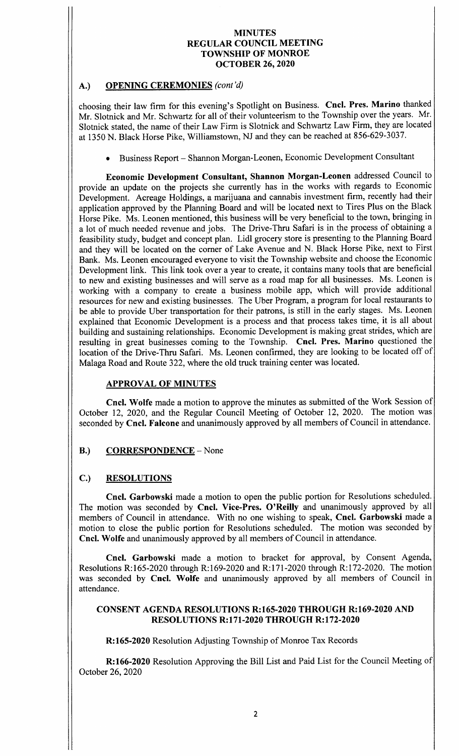# A.) OPENING CEREMONIES (cont'd)

choosing their law firm for this evening's Spotlight on Business. Cncl. Pres. Marino thanked Mr. Slotnick and Mr. Schwartz for all of their volunteerism to the Township over the years. Mr. Slotnick stated, the name of their Law Firm is Slotnick and Schwartz Law Firm, they are located at 1350 N. Black Horse Pike, Williamstown, NJ and they can be reached at 856-629-3037.

Business Report— Shannon Morgan-Leonen, Economic Development Consultant

Economic Development Consultant, Shannon Morgan- Leonen addressed Council to provide an update on the projects she currently has in the works with regards to Economic Development. Acreage Holdings, a marijuana and cannabis investment firm, recently had their application approved by the Planning Board and will be located next to Tires Plus on the Black Horse Pike. Ms. Leonen mentioned, this business will be very beneficial to the town, bringing in <sup>a</sup> lot of much needed revenue and jobs. The Drive-Thru Safari is in the process of obtaining <sup>a</sup> feasibility study, budget and concept plan. Lidl grocery store is presenting to the Planning Board and they will be located on the corner of Lake Avenue and N. Black Horse Pike, next to First Bank. Ms. Leonen encouraged everyone to visit the Township website and choose the Economic Development link. This link took over a year to create, it contains many tools that are beneficial to new and existing businesses and will serve as <sup>a</sup> road map for all businesses. Ms. Leonen is working with <sup>a</sup> company to create <sup>a</sup> business mobile app, which will provide additional resources for new and existing businesses. The Uber Program, a program for local restaurants to be able to provide Uber transportation for their patrons, is still in the early stages. Ms. Leonen explained that Economic Development is a process and that process takes time, it is all about building and sustaining relationships. Economic Development is making great strides, which are resulting in great businesses coming to the Township. Cncl. Pres. Marino questioned the location of the Drive-Thru Safari. Ms. Leonen confirmed, they are looking to be located off of Malaga Road and Route 322, where the old truck training center was located.

# APPROVAL OF MINUTES

Cncl. Wolfe made a motion to approve the minutes as submitted of the Work Session of October 12, 2020, and the Regular Council Meeting of October 12, 2020. The motion was seconded by Cncl. Falcone and unanimously approved by all members of Council in attendance.

# B.) CORRESPONDENCE - None

### C.) RESOLUTIONS

Cncl. Garbowski made a motion to open the public portion for Resolutions scheduled. The motion was seconded by Cncl. Vice-Pres. O'Reilly and unanimously approved by all members of Council in attendance. With no one wishing to speak, Cncl. Garbowski made <sup>a</sup> motion to close the public portion for Resolutions scheduled. The motion was seconded by Cncl. Wolfe and unanimously approved by all members of Council in attendance.

Cncl. Garbowski made <sup>a</sup> motion to bracket for approval, by Consent Agenda, Resolutions R:165-2020 through R:169-2020 and R:171-2020 through R:172-2020. The motion was seconded by Cncl. Wolfe and unanimously approved by all members of Council in attendance.

### CONSENT AGENDA RESOLUTIONS R:165-2020 THROUGH R:169-2020 AND **RESOLUTIONS R:171-2020 THROUGH R:172-2020**

R: 165-2020 Resolution Adjusting Township of Monroe Tax Records

R:166-2020 Resolution Approving the Bill List and Paid List for the Council Meeting of October 26, 2020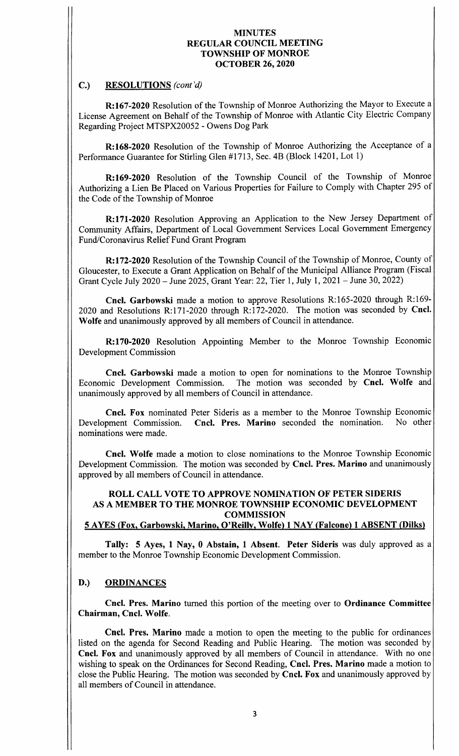#### C.) RESOLUTIONS (cont'd)

R: 167-2020 Resolution of the Township of Monroe Authorizing the Mayor to Execute a License Agreement on Behalf of the Township of Monroe with Atlantic City Electric Company Regarding Project MTSPX20052 - Owens Dog Park

R: 168-2020 Resolution of the Township of Monroe Authorizing the Acceptance of a Performance Guarantee for Stirling Glen #1713, Sec. 4B (Block 14201, Lot 1)

R: 169-2020 Resolution of the Township Council of the Township of Monroe Authorizing a Lien Be Placed on Various Properties for Failure to Comply with Chapter 295 of the Code of the Township of Monroe

R:171-2020 Resolution Approving an Application to the New Jersey Department of Community Affairs, Department of Local Government Services Local Government Emergency Fund/Coronavirus Relief Fund Grant Program

R: 172-2020 Resolution of the Township Council of the Township of Monroe, County of Gloucester, to Execute a Grant Application on Behalf of the Municipal Alliance Program (Fiscal Grant Cycle July 2020— June 2025, Grant Year: 22, Tier 1, July 1, 2021 —June 30, 2022)

Cncl. Garbowski made a motion to approve Resolutions R:165-2020 through R:169-2020 and Resolutions R:171-2020 through R:172-2020. The motion was seconded by Cncl. Wolfe and unanimously approved by all members of Council in attendance.

R:170-2020 Resolution Appointing Member to the Monroe Township Economic Development Commission

Cncl. Garbowski made a motion to open for nominations to the Monroe Township Economic Development Commission. The motion was seconded by Cncl. Wolfe and unanimously approved by all members of Council in attendance.

Cncl. Fox nominated Peter Sideris as a member to the Monroe Township Economic Development Commission. Cncl. Pres. Marino seconded the nomination. No other Cncl. Pres. Marino seconded the nomination. nominations were made.

Cncl. Wolfe made a motion to close nominations to the Monroe Township Economic Development Commission. The motion was seconded by Cncl. Pres. Marino and unanimously approved by all members of Council in attendance.

# ROLL CALL VOTE TO APPROVE NOMINATION OF PETER SIDERIS AS A MEMBER TO THE MONROE TOWNSHIP ECONOMIC DEVELOPMENT **COMMISSION**

# 5 AYES (Fox, Garbowski, Marino, O' Reilly, Wolfe) 1 NAY (Falcone) 1 ABSENT (Dilks)

Tally: <sup>5</sup> Ayes, <sup>1</sup> Nay, <sup>0</sup> Abstain, 1 Absent. Peter Sideris was duly approved as <sup>a</sup> member to the Monroe Township Economic Development Commission.

### D.) ORDINANCES

Cncl. Pres. Marino turned this portion of the meeting over to Ordinance Committee Chairman, Cncl. Wolfe.

Cncl. Pres. Marino made a motion to open the meeting to the public for ordinances listed on the agenda for Second Reading and Public Hearing. The motion was seconded by Cncl. Fox and unanimously approved by all members of Council in attendance. With no one wishing to speak on the Ordinances for Second Reading, Cncl. Pres. Marino made a motion to close the Public Hearing. The motion was seconded by Cncl. Fox and unanimously approved by all members of Council in attendance.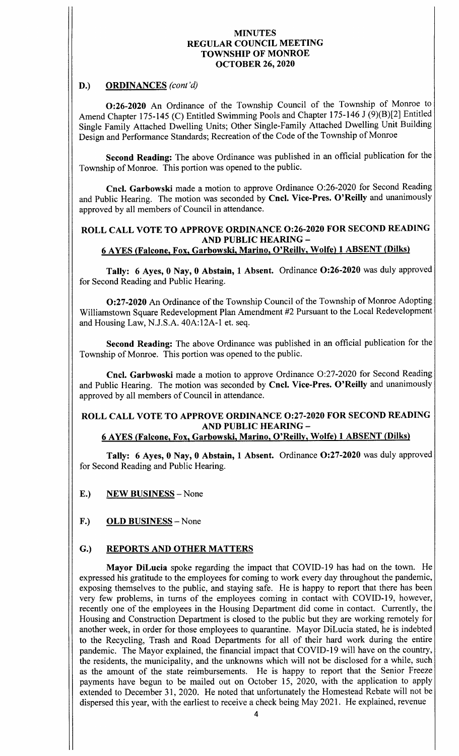# D.) ORDINANCES (cont'd)

0:26-2020 An Ordinance of the Township Council of the Township of Monroe to Amend Chapter 175-145 (C) Entitled Swimming Pools and Chapter 175-146 J (9)(B)[2] Entitled Single Family Attached Dwelling Units; Other Single- Family Attached Dwelling Unit Building Design and Performance Standards; Recreation of the Code of the Township of Monroe

Second Reading: The above Ordinance was published in an official publication for the Township of Monroe. This portion was opened to the public.

Cncl. Garbowski made a motion to approve Ordinance O:26-2020 for Second Reading and Public Hearing. The motion was seconded by Cncl. Vice-Pres. O'Reilly and unanimously approved by all members of Council in attendance.

# ROLL CALL VOTE TO APPROVE ORDINANCE 0:26-2020 FOR SECOND READING AND PUBLIC HEARING—

# 6 AYES ( Falcone, Fox, Garbowski, Marino, O' Reilly, Wolfe) 1 ABSENT ( Dilks)

Tally: 6 Ayes, 0 Nay, 0 Abstain, 1 Absent. Ordinance O:26-2020 was duly approved for Second Reading and Public Hearing.

0:27-2020 An Ordinance of the Township Council of the Township of Monroe Adopting Williamstown Square Redevelopment Plan Amendment #2 Pursuant to the Local Redevelopment and Housing Law, N.J.S.A. 40A:12A-1 et. seq.

Second Reading: The above Ordinance was published in an official publication for the Township of Monroe. This portion was opened to the public.

Cncl. Garbwoski made a motion to approve Ordinance O:27-2020 for Second Reading and Public Hearing. The motion was seconded by Cncl. Vice-Pres. O'Reilly and unanimously approved by all members of Council in attendance.

# ROLL CALL VOTE TO APPROVE ORDINANCE 0:27-2020 FOR SECOND READING AND PUBLIC HEARING—

### 6 AYES (Falcone, Fox, Garbowski, Marino, O' Reilly, Wolfe) 1 ABSENT (Dilks)

Tally: <sup>6</sup> Ayes, 0 Nay, <sup>0</sup> Abstain, 1 Absent. Ordinance 0:27-2020 was duly approved for Second Reading and Public Hearing.

- E.) NEW BUSINESS— None
- F.) OLD BUSINESS None

# G.) REPORTS AND OTHER MATTERS

Mayor DiLucia spoke regarding the impact that COVID-19 has had on the town. He expressed his gratitude to the employees for coming to work every day throughout the pandemic, exposing themselves to the public, and staying safe. He is happy to report that there has been very few problems, in turns of the employees coming in contact with COVID-19, however, recently one of the employees in the Housing Department did come in contact. Currently, the Housing and Construction Department is closed to the public but they are working remotely for another week, in order for those employees to quarantine. Mayor DiLucia stated, he is indebted to the Recycling, Trash and Road Departments for all of their hard work during the entire pandemic. The Mayor explained, the financial impact that COVID- <sup>19</sup> will have on the country, the residents, the municipality, and the unknowns which will not be disclosed for <sup>a</sup> while, such as the amount of the state reimbursements. He is happy to report that the Senior Freeze payments have begun to be mailed out on October 15, 2020, with the application to apply extended to December 31, 2020. He noted that unfortunately the Homestead Rebate will not be dispersed this year, with the earliest to receive <sup>a</sup> check being May 2021. He explained, revenue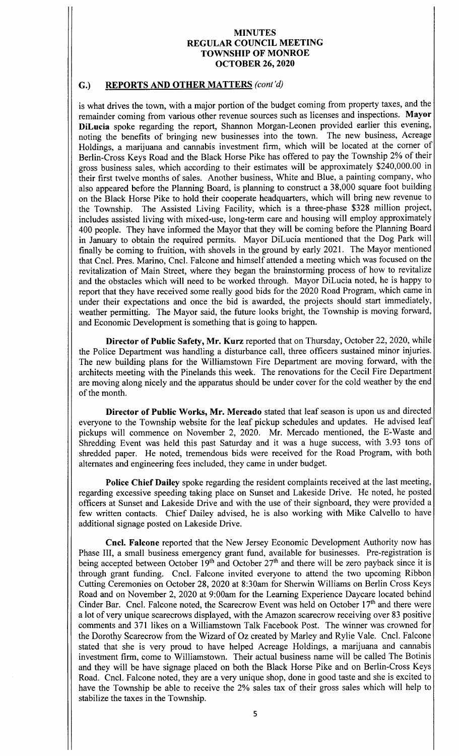# G.) REPORTS AND OTHER MATTERS (cont'd)

is what drives the town, with a major portion of the budget coming from property taxes, and the remainder coming from various other revenue sources such as licenses and inspections. Mayor DiLucia spoke regarding the report, Shannon Morgan-Leonen provided earlier this evening, noting the benefits of bringing new businesses into the town. The new business, Acreage Holdings, a marijuana and cannabis investment firm, which will be located at the corner of Berlin- Cross Keys Road and the Black Horse Pike has offered to pay the Township 2% of their gross business sales, which according to their estimates will be approximately \$240,000.00 in their first twelve months of sales. Another business, White and Blue, a painting company, who also appeared before the Planning Board, is planning to construct a 38, 000 square foot building on the Black Horse Pike to hold their cooperate headquarters, which will bring new revenue to the Township. The Assisted Living Facility, which is a three-phase \$328 million project, includes assisted living with mixed-use, long-term care and housing will employ approximately 400 people. They have informed the Mayor that they will be coming before the Planning Board in January to obtain the required permits. Mayor DiLucia mentioned that the Dog Park will finally be coming to fruition, with shovels in the ground by early 2021. The Mayor mentioned that Cncl. Pres. Marino, Cncl. Falcone and himself attended a meeting which was focused on the revitalization of Main Street, where they began the brainstorming process of how to revitalize and the obstacles which will need to be worked through. Mayor DiLucia noted, he is happy to report that they have received some really good bids for the 2020 Road Program, which came in under their expectations and once the bid is awarded, the projects should start immediately, weather permitting. The Mayor said, the future looks bright, the Township is moving forward, and Economic Development is something that is going to happen.

Director of Public Safety, Mr. Kurz reported that on Thursday, October 22, 2020, while the Police Department was handling a disturbance call, three officers sustained minor injuries. The new building plans for the Williamstown Fire Department are moving forward, with the architects meeting with the Pinelands this week. The renovations for the Cecil Fire Department are moving along nicely and the apparatus should be under cover for the cold weather by the end of the month.

Director of Public Works, Mr. Mercado stated that leaf season is upon us and directed everyone to the Township website for the leaf pickup schedules and updates. He advised leaf pickups will commence on November 2, 2020. Mr. Mercado mentioned, the E- Waste and Shredding Event was held this past Saturday and it was a huge success, with 3.93 tons of shredded paper. He noted, tremendous bids were received for the Road Program, with both alternates and engineering fees included, they came in under budget.

Police Chief Dailey spoke regarding the resident complaints received at the last meeting, regarding excessive speeding taking place on Sunset and Lakeside Drive. He noted, he posted officers at Sunset and Lakeside Drive and with the use of their signboard, they were provided a few written contacts. Chief Dailey advised, he is also working with Mike Calvello to have additional signage posted on Lakeside Drive.

Cncl. Falcone reported that the New Jersey Economic Development Authority now has Phase III, a small business emergency grant fund, available for businesses. Pre-registration is being accepted between October 19<sup>th</sup> and October  $27<sup>th</sup>$  and there will be zero payback since it is through grant funding. Cncl. Falcone invited everyone to attend the two upcoming Ribbon Cutting Ceremonies on October 28, 2020 at 8: 30am for Sherwin Williams on Berlin Cross Keys Road and on November 2, 2020 at 9:00am for the Learning Experience Daycare located behind Cinder Bar. Cncl. Falcone noted, the Scarecrow Event was held on October 17<sup>th</sup> and there were <sup>a</sup> lot of very unique scarecrows displayed, with the Amazon scarecrow receiving over 83 positive comments and 371 likes on <sup>a</sup> Williamstown Talk Facebook Post. The winner was crowned for the Dorothy Scarecrow from the Wizard of Oz created by Marley and Rylie Vale. Cncl. Falcone stated that she is very proud to have helped Acreage Holdings, a marijuana and cannabis investment firm, come to Williamstown. Their actual business name will be called The Botinis and they will be have signage placed on both the Black Horse Pike and on Berlin-Cross Keys Road. Cncl. Falcone noted, they are a very unique shop, done in good taste and she is excited to have the Township be able to receive the 2% sales tax of their gross sales which will help to stabilize the taxes in the Township.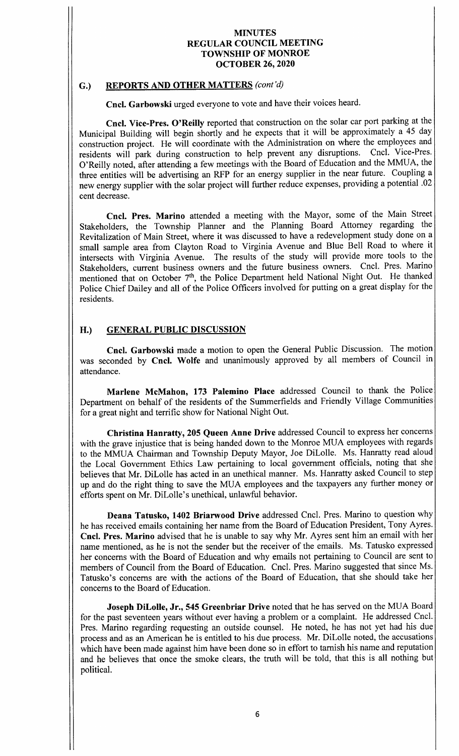### G.) REPORTS AND OTHER MATTERS (cont'd)

Cncl. Garbowski urged everyone to vote and have their voices heard.

Cncl. Vice-Pres. O'Reilly reported that construction on the solar car port parking at the Municipal Building will begin shortly and he expects that it will be approximately <sup>a</sup> 45 day construction project. He will coordinate with the Administration on where the employees and residents will park during construction to help prevent any disruptions. Cncl. Vice-Pres. residents will park during construction to help prevent any disruptions. O' Reilly noted, after attending <sup>a</sup> few meetings with the Board of Education and the MMUA, the three entities will be advertising an RFP for an energy supplier in the near future. Coupling <sup>a</sup> new energy supplier with the solar project will further reduce expenses, providing <sup>a</sup> potential . 02 cent decrease.

Cncl. Pres. Marino attended <sup>a</sup> meeting with the Mayor, some of the Main Street Stakeholders, the Township Planner and the Planning Board Attorney regarding the Revitalization of Main Street, where it was discussed to have <sup>a</sup> redevelopment study done on <sup>a</sup> small sample area from Clayton Road to Virginia Avenue and Blue Bell Road to where it intersects with Virginia Avenue. The results of the study will provide more tools to the Stakeholders, current business owners and the future business owners. Cncl. Pres. Marino mentioned that on October 7<sup>th</sup>, the Police Department held National Night Out. He thanked Police Chief Dailey and all of the Police Officers involved for putting on <sup>a</sup> great display for the residents.

# H.) GENERAL PUBLIC DISCUSSION

Cncl. Garbowski made <sup>a</sup> motion to open the General Public Discussion. The motion was seconded by Cncl. Wolfe and unanimously approved by all members of Council in attendance.

Marlene McMahon, 173 Palemino Place addressed Council to thank the Police Department on behalf of the residents of the Summerfields and Friendly Village Communities for a great night and terrific show for National Night Out.

Christina Hanratty, 205 Queen Anne Drive addressed Council to express her concerns with the grave injustice that is being handed down to the Monroe MUA employees with regards to the MMUA Chairman and Township Deputy Mayor, Joe DiLolle. Ms. Hanratty read aloud the Local Government Ethics Law pertaining to local government officials, noting that she believes that Mr. DiLolle has acted in an unethical manner. Ms. Hanratty asked Council to step up and do the right thing to save the MUA employees and the taxpayers any further money or efforts spent on Mr. DiLolle's unethical, unlawful behavior.

Deana Tatusko, 1402 Briarwood Drive addressed Cncl. Pres. Marino to question why he has received emails containing her name from the Board of Education President, Tony Ayres. Cncl. Pres. Marino advised that he is unable to say why Mr. Ayres sent him an email with her name mentioned, as he is not the sender but the receiver of the emails. Ms. Tatusko expressed her concerns with the Board of Education and why emails not pertaining to Council are sent to members of Council from the Board of Education. Cncl. Pres. Marino suggested that since Ms. Tatusko's concerns are with the actions of the Board of Education, that she should take her concerns to the Board of Education.

Joseph DiLolle, Jr., 545 Greenbriar Drive noted that he has served on the MUA Board for the past seventeen years without ever having <sup>a</sup> problem or <sup>a</sup> complaint. He addressed Cncl. Pres. Marino regarding requesting an outside counsel. He noted, he has not yet had his due process and as an American he is entitled to his due process. Mr. DiLolle noted, the accusations which have been made against him have been done so in effort to tarnish his name and reputation and he believes that once the smoke clears, the truth will be told, that this is all nothing but political.